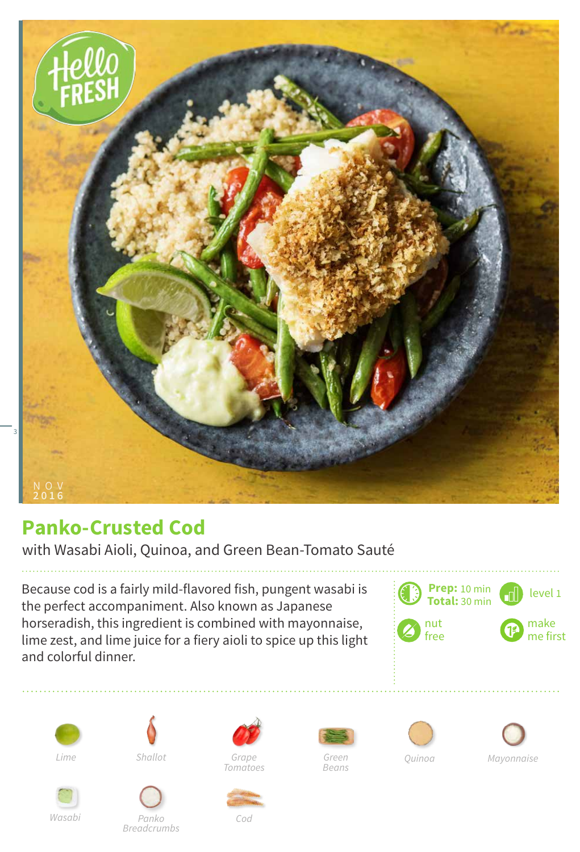

## **Panko-Crusted Cod**

with Wasabi Aioli, Quinoa, and Green Bean-Tomato Sauté

Because cod is a fairly mild-flavored fish, pungent wasabi is the perfect accompaniment. Also known as Japanese horseradish, this ingredient is combined with mayonnaise, lime zest, and lime juice for a fiery aioli to spice up this light and colorful dinner.





*Shallot*





*Breadcrumbs*



*Green*

*Beans*





*Cod*